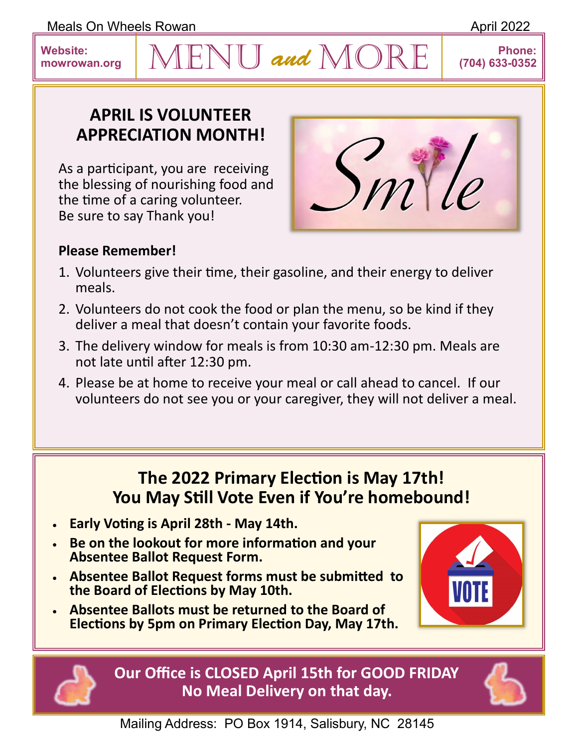Meals On Wheels Rowan **April 2022** 

## **APRIL IS VOLUNTEER APPRECIATION MONTH!**

As a participant, you are receiving the blessing of nourishing food and the time of a caring volunteer. Be sure to say Thank you!



## **Please Remember!**

1. Volunteers give their time, their gasoline, and their energy to deliver meals.

 $ENU$  and  $MORE$ 

- 2. Volunteers do not cook the food or plan the menu, so be kind if they deliver a meal that doesn't contain your favorite foods.
- 3. The delivery window for meals is from 10:30 am-12:30 pm. Meals are not late until after 12:30 pm.
- 4. Please be at home to receive your meal or call ahead to cancel. If our volunteers do not see you or your caregiver, they will not deliver a meal.

## **The 2022 Primary Election is May 17th! You May Still Vote Even if You're homebound!**

- **Early Voting is April 28th - May 14th.**
- **Be on the lookout for more information and your Absentee Ballot Request Form.**
- **Absentee Ballot Request forms must be submitted to the Board of Elections by May 10th.**
- **Absentee Ballots must be returned to the Board of Elections by 5pm on Primary Election Day, May 17th.**



**Our Office is CLOSED April 15th for GOOD FRIDAY No Meal Delivery on that day.**